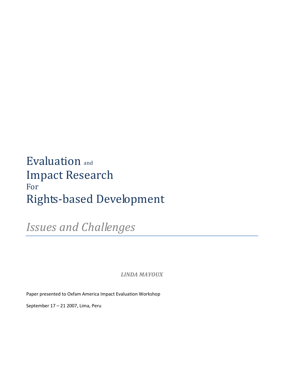# Evaluation and Impact Research For Rights-based Development

*Issues and Challenges* 

*LINDA MAYOUX*

Paper presented to Oxfam America Impact Evaluation Workshop

September 17 – 21 2007, Lima, Peru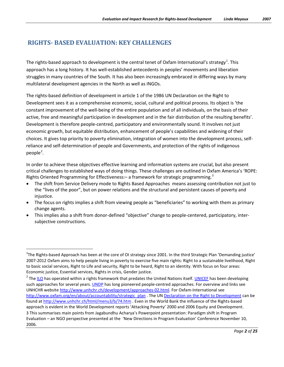# **RIGHTS- BASED EVALUATION: KEY CHALLENGES**

The rights-based approach to development is the central tenet of Oxfam International's strategy<sup>[1](#page-1-0)</sup>. This approach has a long history. It has well-established antecedents in peoples' movements and liberation struggles in many countries of the South. It has also been increasingly embraced in differing ways by many multilateral development agencies in the North as well as INGOs.

The rights-based definition of development in article 1 of the 1986 UN [Declaration on the Right to](http://www.unhchr.ch/development/%20/html/menu3/b/74.htm)  [Development](http://www.unhchr.ch/development/%20/html/menu3/b/74.htm) sees it as a comprehensive economic, social, cultural and political process. Its object is 'the constant improvement of the well-being of the entire population and of all individuals, on the basis of their active, free and meaningful participation in development and in the fair distribution of the resulting benefits'. Development is therefore people-centred, participatory and environmentally sound. It involves not just economic growth, but equitable distribution, enhancement of people's capabilities and widening of their choices. It gives top priority to poverty elimination, integration of women into the development process, selfreliance and self-determination of people and Governments, and protection of the rights of indigenous people<sup>[2](#page-1-1)</sup>.

In order to achieve these objectives effective learning and information systems are crucial, but also present critical challenges to established ways of doing things. These challenges are outlined in Oxfam America's 'ROPE: Rights Oriented Programming for Effectiveness: – a framework for strategic programming.<sup>[3](#page-1-2)</sup>

- The shift from Service Delivery mode to Rights Based Approaches means assessing contribution not just to the "lives of the poor", but on power relations and the structural and persistent causes of poverty and injustice.
- The focus on rights implies a shift from viewing people as "beneficiaries" to working with them as primary change agents.
- This implies also a shift from donor-defined "objective" change to people-centered, participatory, intersubjective constructions.

<span id="page-1-0"></span> $\frac{1}{1}$ <sup>1</sup>The Rights-based Approach has been at the core of OI strategy since 2001. In the third Strategic Plan 'Demanding justice' 2007-2012 Oxfam aims to help people living in poverty to exercise five main rights: Right to a sustainable livelihood, Right to basic social services, Right to Life and security, Right to be heard, Right to an identity. With focus on four areas: Economic justice, Essential services, Rights in crisis, Gender justice.

<span id="page-1-2"></span><span id="page-1-1"></span> $<sup>2</sup>$  The [ILO](http://www.ilo.org/) has operated within a rights framework that predates the United Nations itself[. UNICEF](http://www.unicef.org/) has been developing</sup> such approaches for several years. [UNDP](http://www.undp.org/) has long pioneered people-centred approaches. For overview and links see UNHCHR website [http://www.unhchr.ch/development/approaches-02.html.](http://www.unhchr.ch/development/approaches-02.html) For Oxfam-International see [http://www.oxfam.org/en/about/accountability/strategic\\_plan](http://www.oxfam.org/en/about/accountability/strategic_plan) . The U[N Declaration on the Right to Development](http://www.unhchr.ch/development/%20/html/menu3/b/74.htm) can be found a[t http://www.unhchr.ch/html/menu3/b/74.htm](http://www.unhchr.ch/html/menu3/b/74.htm) . Even in the World Bank the influence of the Rights-based approach is evident in the World Development reports 'Attacking Poverty' 2000 and 2006 Equity and Development. 3 This summarises main points from Jagabundhu Acharya's Powerpoint presentation: Paradigm shift in Program Evaluation – an NGO perspective presented at the 'New Directions in Program Evaluation' Conference November 10, 2006.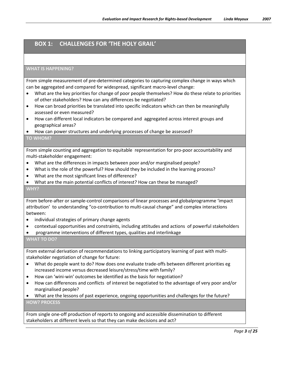# **BOX 1: CHALLENGES FOR 'THE HOLY GRAIL'**

#### **WHAT IS HAPPENING?**

From simple measurement of pre-determined categories to capturing complex change in ways which can be aggregated and compared for widespread, significant macro-level change:

- What are the key priorities for change of poor people themselves? How do these relate to priorities of other stakeholders? How can any differences be negotiated?
- How can broad priorities be translated into specific indicators which can then be meaningfully assessed or even measured?
- How can different local indicators be compared and aggregated across interest groups and geographical areas?
- How can power structures and underlying processes of change be assessed?

#### **TO WHOM?**

From simple counting and aggregation to equitable representation for pro-poor accountability and multi-stakeholder engagement:

- What are the differences in impacts between poor and/or marginalised people?
- What is the role of the powerful? How should they be included in the learning process?
- What are the most significant lines of difference?
- What are the main potential conflicts of interest? How can these be managed?

#### **WHY?**

From before-after or sample-control comparisons of linear processes and globalprogramme 'impact attribution' to understanding "co-contribution to multi-causal change" and complex interactions between:

- individual strategies of primary change agents
- contextual opportunities and constraints, including attitudes and actions of powerful stakeholders
- programme interventions of different types, qualities and interlinkage

#### **WHAT TO DO?**

From external derivation of recommendations to linking participatory learning of past with multistakeholder negotiation of change for future:

- What do people want to do? How does one evaluate trade-offs between different priorities eg increased income versus decreased leisure/stress/time with family?
- How can 'wini-win' outcomes be identified as the basis for negotiation?
- How can differences and conflicts of interest be negotiated to the advantage of very poor and/or marginalised people?
- What are the lessons of past experience, ongoing opportunities and challenges for the future? **HOW? PROCESS**

From single one-off production of reports to ongoing and accessible dissemination to different stakeholders at different levels so that they can make decisions and act?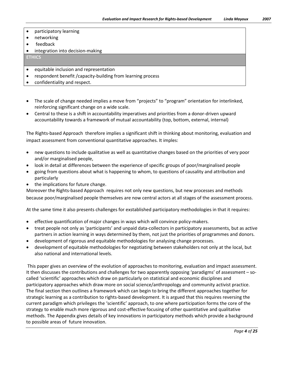- networking
- feedback
- integration into decision-making

#### **ETHICS**

- equitable inclusion and representation
- respondent benefit /capacity-building from learning process
- confidentiality and respect.
- The scale of change needed implies a move from "projects" to "program" orientation for interlinked, reinforcing significant change on a wide scale.
- Central to these is a shift in accountability imperatives and priorities from a donor-driven upward accountability towards a framework of mutual accountability (top, bottom, external, internal)

The Rights-based Approach therefore implies a significant shift in thinking about monitoring, evaluation and impact assessment from conventional quantitative approaches. It imples:

- new questions to include qualitative as well as quantitative changes based on the priorities of very poor and/or marginalised people,
- look in detail at differences between the experience of specific groups of poor/marginalised people
- going from questions about what is happening to whom, to questions of causality and attribution and particularly
- the implications for future change.

Moreover the Rights-based Approach requires not only new questions, but new processes and methods because poor/marginalised people themselves are now central actors at all stages of the assessment process.

At the same time it also presents challenges for exstablished participatory methodologies in that it requires:

- effective quantification of major changes in ways which will convince policy-makers.
- treat people not only as 'participants' and unpaid data-collectors in participatory assessments, but as active partners in action learning in ways determined by them, not just the priorities of programmes and donors.
- development of rigorous and equitable methodologies for analysing change processes.
- development of equitable methodologies for negotiating between stakeholders not only at the local, but also national and international levels.

This paper gives an overview of the evolution of approaches to monitoring, evaluation and impact assessment. It then discusses the contributions and challenges for two apparently opposing 'paradigms' of assessment – socalled 'scientific' approaches which draw on particularly on statistical and economic disciplines and participatory approaches which draw more on social science/anthropology and community activist practice. The final section then outlines a framework which can begin to bring the different approaches together for strategic learning as a contribution to rights-based development. It is argued that this requires reversing the current paradigm which privileges the 'scientific' approach, to one where participation forms the core of the strategy to enable much more rigorous and cost-effective focusing of other quantitative and qualitative methods. The Appendix gives details of key innovations in participatory methods which provide a background to possible areas of future innovation.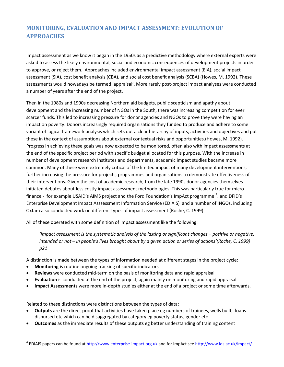# **MONITORING, EVALUATION AND IMPACT ASSESSMENT: EVOLUTION OF APPROACHES**

Impact assessment as we know it began in the 1950s as a predictive methodology where external experts were asked to assess the likely environmental, social and economic consequences of development projects in order to approve, or reject them. Approaches included environmental impact assessment (EIA), social impact assessment (SIA), cost benefit analysis (CBA), and social cost benefit analysis (SCBA) (Howes, M. 1992). These assessments would nowadays be termed 'appraisal'. More rarely post-project impact analyses were conducted a number of years after the end of the project.

Then in the 1980s and 1990s decreasing Northern aid budgets, public scepticism and apathy about development and the increasing number of NGOs in the South, there was increasing competition for ever scarcer funds. This led to increasing pressure for donor agencies and NGOs to prove they were having an impact on poverty. Donors increasingly required organisations they funded to produce and adhere to some variant of logical framework analysis which sets out a clear hierarchy of inputs, activities and objectives and put these in the context of assumptions about external contextual risks and opportunities.(Howes, M. 1992). Progress in achieving these goals was now expected to be monitored, often also with impact assessments at the end of the specific project period with specific budget allocated for this purpose. With the increase in number of development research Institutes and departments, academic impact studies became more common. Many of these were extremely critical of the limited impact of many development interventions, further increasing the pressure for projects, programmes and organisations to demonstrate effectiveness of their interventions. Given the cost of academic research, from the late 1990s donor agencies themselves initiated debates about less costly impact assessment methodologies. This was particularly true for microfinance - for example USAID's AIMS project and the Ford Foundation's ImpAct programme  $4$ . and DFID's Enterprise Development Impact Asssessment Information Service (EDIAIS) and a number of INGOs, including Oxfam also conducted work on different types of impact assessment (Roche, C. 1999).

All of these operated with some definition of impact assessment like the following:

*'Impact assessment is the systematic analysis of the lasting or significant changes – positive or negative, intended or not – in people's lives brought about by a given action or series of actions'(Roche, C. 1999) p21*

A distinction is made between the types of information needed at different stages in the project cycle:

- **Monitoring i**s routine ongoing tracking of specific indicators
- **Reviews** were conducted mid-term on the basis of monitoring data and rapid appraisal
- **Evaluation** is conducted at the end of the project, again mainly on monitoring and rapid appraisal
- **Impact Assessments** were more in-depth studies either at the end of a project or some time afterwards.

Related to these distinctions were distinctions between the types of data:

- **Outputs** are the direct proof that activities have taken place eg numbers of trainees, wells built, loans disbursed etc which can be disaggregated by category eg poverty status, gender etc
- **Outcomes** as the immediate results of these outputs eg better understanding of training content

<span id="page-4-0"></span><sup>&</sup>lt;sup>4</sup> EDIAIS papers can be found at [http://www.enterprise-impact.org.uk](http://www.enterprise-impact.org.uk/) and for ImpAct see http://www.ids.ac.uk/impact/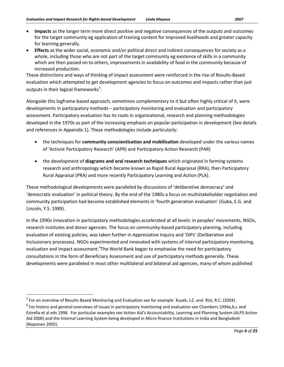- **Impacts** as the longer term more direct positive and negative consequences of the outputs and outcomes for the target community eg application of training content for improved livelihoods and greater capacity for learning generally.
- **Effects** as the wider social, economic and/or political direct and indirect consequences for society as a whole, including those who are not part of the target community eg existence of skills in a community which are then passed on to others, improvements in availability of food in the community because of increased production.

These distinctions and ways of thinking of impact assessment were reinforced in the rise of Results-Based evaluation which attempted to get development agencies to focus on outcomes and impacts rather than just outputs in their logical frameworks<sup>[5](#page-5-0)</sup>.

Alongside this logframe-based approach, sometimes complementary to it but often highly critical of it, were developments in participatory methods – participatory monitoring and evaluation and participatory assessment. Participatory evaluation has its roots in organizational, research and planning methodologies developed in the 1970s as part of the increasing emphasis on popular participation in development (See details and references in Appendix 1). These methodologies include particularly:

- the techniques for **community conscientisation and mobilisation** developed under the various names of 'Activist Participatory Research' (APR) and Participatory Action Research (PAR)
- the development of **diagrams and oral research techniques** which originated in farming systems research and anthropology which became known as Rapid Rural Appraisal (RRA), then Participatory Rural Appraisal (PRA) and more recently Participatory Learning and Action (PLA).

These methodological developments were paralleled by discussions of 'deliberative democracy' and 'democratic evaluation' in political theory. By the end of the 1980s a focus on multistakeholder negotiation and community participation had become established elements in 'fourth generation evaluation' (Guba, E.G. and Lincoln, Y.S. 1989).

In the 1990s innovation in participatory methodologies accelerated at all levels: in peoples' movements, NGOs, research institutes and donor agencies. The focus on community-based participatory planning, including evaluation of existing policies, was taken further in Appreciative Inquiry and 'DIPs' (Deliberative and Inclusionary processes). NGOs experimented and innovated with systems of internal participatory monitoring, evaluation and impact assessment. <sup>[6](#page-5-1)</sup>The World Bank began to emphasise the need for participatory consultations in the form of Beneficiary Assessment and use of participatory methods generally. These developments were paralleled in most other multilateral and bilateral aid agencies, many of whom published

<span id="page-5-0"></span><sup>&</sup>lt;sup>5</sup> For an overview of Results-Based Monitoring and Evaluation see for example Kusek, J.Z. and Rist, R.C. (2004).

<span id="page-5-1"></span> $6$  For history and general overviews of issues in participatory monitoring and evaluation see Chambers 1994a,b,c and Estrella et al eds 1998. For particular examples see Action Aid's Accountability, Learning and Planning System (ALPS Action Aid 2000) and the Internal Learning System being developed in Micro-finance Institutions in India and Bangladesh (Noponen 2005).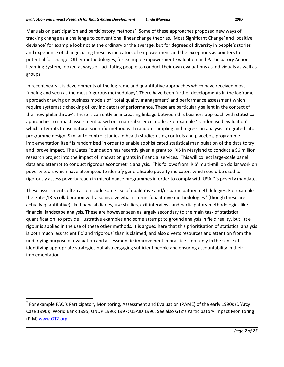Manuals on participation and participatory methods<sup>[7](#page-6-0)</sup>. Some of these approaches proposed new ways of tracking change as a challenge to conventional linear change theories. 'Most Significant Change' and 'positive deviance' for example look not at the ordinary or the average, but for degrees of diversity in people's stories and experience of change, using these as indicators of empowerment and the exceptions as pointers to potential for change. Other methodologies, for example Empowerment Evaluation and Participatory Action Learning System, looked at ways of facilitating people to conduct their own evaluations as individuals as well as groups.

In recent years it is developments of the logframe and quantitative approaches which have received most funding and seen as the most 'rigorous methodology'. There have been further developments in the logframe approach drawing on business models of ' total quality management' and performance assessment which require systematic checking of key indicators of performance. These are particularly salient in the context of the 'new philanthropy'. There is currently an increasing linkage between this business approach with statistical approaches to impact assessment based on a natural science model. For example ' randomised evaluation' which attempts to use natural scientific method with random sampling and regression analysis integrated into programme design. Similar to control studies in health studies using controls and placebos, programme implementation itself is randomised in order to enable sophisticated statistical manipulation of the data to try and 'prove'impact. The Gates Foundation has recently given a grant to IRIS in Maryland to conduct a \$6 million research project into the impact of innovation grants in financial services. This will collect large-scale panel data and attempt to conduct rigorous econometric analysis. This follows from IRIS' multi-million dollar work on poverty tools which have attempted to identify generalisable poverty indicators which could be used to rigorously assess poverty reach in microfinance programmes in order to comply with USAID's poverty mandate.

These assessments often also include some use of qualitative and/or participatory methdologies. For example the Gates/IRIS collaboration will also involve what it terms 'qualitative methodologies ' (though these are actually quantitative) like financial diaries, use studies, exit interviews and participatory methodologies like financial landscape analysis. These are however seen as largely secondary to the main task of statistical quantification, to provide illustrative examples and some attempt to ground analysis in field reality, but little rigour is applied in the use of these other methods. It is argued here that this prioritisation of statistical analysis is both much less 'scientific' and 'rigorous' than is claimed, and also diverts resources and attention from the underlying purpose of evaluation and assessment ie improvement in practice – not only in the sense of identifying appropriate strategies but also engaging sufficient people and ensuring accountability in their implementation.

<span id="page-6-0"></span> $<sup>7</sup>$  For example FAO's Participatory Monitoring, Assessment and Evaluation (PAME) of the early 1990s (D'Arcy</sup> Case 1990); World Bank 1995; UNDP 1996; 1997; USAID 1996. See also GTZ's Participatory Impact Monitoring (PIM[\) www.GTZ.org.](http://www.gtz.org/)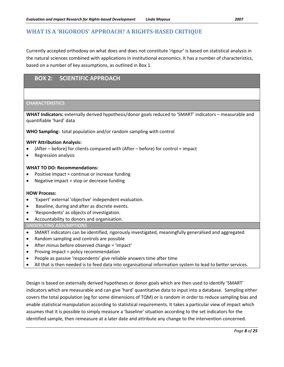### **WHAT IS A 'RIGOROUS' APPROACH? A RIGHTS-BASED CRITIQUE**

Currently accepted orthodoxy on what does and does not constitute 'rigour' is based on statistical analysis in the natural sciences combined with applications in institutional economics. It has a number of characteristics, based on a number of key assumptions, as outlined in Box 1.

### **BOX 2: SCIENTIFIC APPROACH**

#### **CHARACTERISTICS**

**WHAT Indicators:** externally derived hypothesis/donor goals reduced to 'SMART' indicators – measurable and quantifiable 'hard' data

**WHO Sampling:** total population and/or random sampling with control

#### **WHY Attribution Analysis:**

- (After before) for clients compared with (After before) for control = impact
- Regression analysis

#### **WHAT TO DO: Recommendations:**

- Positive impact = continue or increase funding
- Negative impact = stop or decrease funding

#### **HOW Process:**

- 'Expert' external 'objective' independent evaluation.
- Baseline, during and after as discrete events.
- 'Respondents' as objects of investigation.
- Accountability to donors and organisation.

#### **UNDERLYING ASSUMPTIONS**

- SMART indicators can be identified, rigorously investigated, meaningfully generalised and aggregated
- Random sampling and controls are possible
- After minus before observed change = 'impact'
- Proving impact = policy recommendation
- People as passive 'respondents' give reliable answers time after time
- All that is then needed is to feed data into organisational information system to lead to better services.

Design is based on externally derived hypotheses or donor goals which are then used to identify 'SMART' indicators which are measurable and can give 'hard' quantitative data to input into a database. Sampling either covers the total population (eg for some dimensions of TQM) or is random in order to reduce sampling bias and enable statistical manipulation according to statistical requirements. It takes a particular view of impact which assumes that it is possible to simply measure a 'baseline' situation according to the set indicators for the identified sample, then remeasure at a later date and attribute any change to the intervention concerned.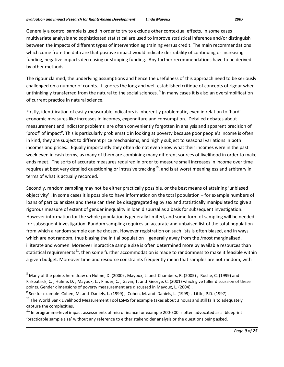Generally a control sample is used in order to try to exclude other contextual effects. In some cases multivariate analysis and sophisticated statistical are used to improve statistical inference and/or distinguish between the impacts of different types of intervention eg training versus credit. The main recommendations which come from the data are that positive impact would indicate desirability of continuing or increasing funding, negative impacts decreasing or stopping funding. Any further recommendations have to be derived by other methods.

The rigour claimed, the underlying assumptions and hence the usefulness of this approach need to be seriously challenged on a number of counts. It ignores the long and well-established critique of concepts of rigour when unthinkingly transferred from the natural to the social sciences. <sup>[8](#page-8-0)</sup> In many cases it is also an oversimplification of current practice in natural science.

Firstly, identification of easily measurable indicators is inherently problematic, even in relation to 'hard' economic measures like increases in incomes, expenditure and consumption. Detailed debates about measurement and indicator problems are often conveniently forgotten in analysis and apparent precision of 'proof' of impact<sup>[9](#page-8-1)</sup>. This is particularly problematic in looking at poverty because poor people's income is often in kind, they are subject to different price mechanisms, and highly subject to seasonal variations in both incomes and prices.. Equally importantly they often do not even know what their incomes were in the past week even in cash terms, as many of them are combining many different sources of livelihood in order to make ends meet. The sorts of accurate measures required in order to measure small increases in income over time requires at best very detailed questioning or intrusive tracking<sup>[10](#page-8-2)</sup>, and is at worst meaningless and arbitrary in terms of what is actually recorded.

Secondly, random sampling may not be either practically possible, or the best means of attaining 'unbiased objectivity' . In some cases it is possible to have information on the total population – for example numbers of loans of particular sizes and these can then be disaggregated eg by sex and statistically manipulated to give a rigorous measure of extent of gender inequality in loan disbursal as a basis for subsequent investigation. However information for the whole population is generally limited, and some form of sampling will be needed for subsequent investigation. Random sampling requires an accurate and unbaised list of the total population from which a random sample can be chosen. However registration on such lists is often biased, and in ways which are not random, thus biasing the initial population – generally away from the /most marginalised, illiterate and women Moreover inpractice sample size is often determined more by available resources than statistical requirements<sup>[11](#page-8-3)</sup>, then some further accommodation is made to randomness to make it feasible within a given budget. Moreover time and resource constraints frequently mean that samples are not random, with

<span id="page-8-0"></span> <sup>8</sup> Many of the points here draw on Hulme, D. (2000) , Mayoux, L. and Chambers, R. (2005) , Roche, C. (1999) and Kirkpatrick, C. , Hulme, D. , Mayoux, L. , Pinder, C. , Gavin, T. and George, C. (2001) which give fuller discussion of these points. Gender dimensions of poverty measurement are discussed in Mayoux, L. (2004) .

<span id="page-8-1"></span> $^9$  See for example Cohen, M. and Daniels, L. (1999), Cohen, M. and Daniels, L. (1999), Little, P.D. (1997).

<span id="page-8-2"></span> $10$  The World Bank Livelihood Measurement Tool LSMS for example takes about 3 hours and still fails to adequately capture the complexities.

<span id="page-8-3"></span><sup>&</sup>lt;sup>11</sup> In programme-level impact assessments of micro finance for example 200-300 is often advocated as a blueprint 'practicable sample size' without any reference to either stakeholder analysis or the questions being asked.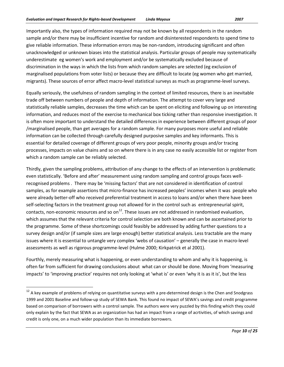Importantly also, the types of information required may not be known by all respondents in the random sample and/or there may be insufficient incentive for random and disinterested respondents to spend time to give reliable information. These information errors may be non-random, introducing significant and often unacknowledged or unknown biases into the statistical analysis. Particular groups of people may systematically underestimate eg women's work and employment and/or be systematically excluded because of discrimination in the ways in which the lists from which random samples are selected (eg exclusion of marginalised populations from voter lists) or because they are difficult to locate (eg women who get married, migrants). These sources of error affect macro-level statistical surveys as much as programme-level surveys.

Equally seriously, the usefulness of random sampling in the context of limited resources, there is an inevitable trade off between numbers of people and depth of information. The attempt to cover very large and statistically reliable samples, decreases the time which can be spent on eliciting and following up on interesting information, and reduces most of the exercise to mechanical box ticking rather than responsive investigation. It is often more important to understand the detailed differences in experience between different groups of poor /marginalised people, than get averages for a random sample. For many purposes more useful and reliable information can be collected through carefully designed purposive samples and key informants. This is essential for detailed coverage of different groups of very poor people, minority groups and/or tracing processes, impacts on value chains and so on where there is in any case no easily accessible list or register from which a random sample can be reliably selected.

Thirdly, given the sampling problems, attribution of any change to the effects of an intervention is problematic even statistically. 'Before and after' measurement using random sampling and control groups faces wellrecognised problems . There may be 'missing factors' that are not considered in identification of control samples, as for example assertions that micro-finance has increased peoples' incomes when it was people who were already better-off who received preferential treatment in access to loans and/or when there have been self-selecting factors in the treatment group not allowed for in the control such as entrepreneurial spirit, contacts, non-economic resources and so on<sup>[12](#page-9-0)</sup>. These issues are not addressed in randomised evaluation, which assumes that the relevant criteria for control selection are both known and can be ascertained prior to the programme. Some of these shortcomings could feasibly be addressed by adding further questions to a survey design and/or (if sample sizes are large enough) better statistical analysis. Less tractable are the many issues where it is essential to untangle very complex 'webs of causation' – generally the case in macro-level assessments as well as rigorous programme-level (Hulme 2000; Kirkpatrick et al 2001).

Fourthly, merely measuring what is happening, or even understanding to whom and why it is happening, is often far from sufficient for drawing conclusions about what can or should be done. Moving from 'measuring impacts' to 'improving practice' requires not only looking at 'what is' or even 'why it is as it is', but the less

<span id="page-9-0"></span><sup>&</sup>lt;sup>12</sup> A key example of problems of relying on quantitative surveys with a pre-determined design is the Chen and Snodgrass 1999 and 2001 Baseline and follow-up study of SEWA Bank. This found no impact of SEWA's savings and credit programme based on comparison of borrowers with a control sample. The authors were very puzzled by this finding which they could only explain by the fact that SEWA as an organization has had an impact from a range of acrtivities, of which savings and credit is only one, on a much wider population than its immediate borrowers.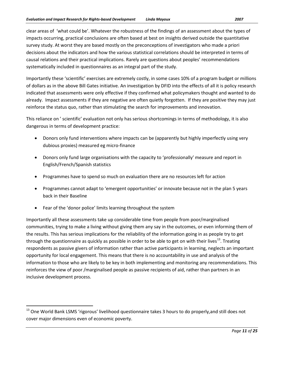clear areas of 'what could be'. Whatever the robustness of the findings of an assessment about the types of impacts occurring, practical conclusions are often based at best on insights derived outside the quantitative survey study. At worst they are based mostly on the preconceptions of investigators who made a priori decisions about the indicators and how the various statistical correlations should be interpreted in terms of causal relations and their practical implications. Rarely are questions about peoples' recommendations systematically included in questionnaires as an integral part of the study.

Importantly these 'scientific' exercises are extremely costly, in some cases 10% of a program budget or millions of dollars as in the above Bill Gates initiative. An investigation by DFID into the effects of all it is policy research indicated that assessments were only effective if they confirmed what policymakers thought and wanted to do already. Impact assessments if they are negative are often quietly forgotten. If they are positive they may just reinforce the status quo, rather than stimulating the search for improvements and innovation.

This reliance on ' scientific' evaluation not only has serious shortcomings in terms of methodology, it is also dangerous in terms of development practice:

- Donors only fund interventions where impacts can be (apparently but highly imperfectly using very dubious proxies) measured eg micro-finance
- Donors only fund large organisations with the capacity to 'professionally' measure and report in English/French/Spanish statistics
- Programmes have to spend so much on evaluation there are no resources left for action
- Programmes cannot adapt to 'emergent opportunities' or innovate because not in the plan 5 years back in their Baseline
- Fear of the 'donor police' limits learning throughout the system

Importantly all these assessments take up considerable time from people from poor/marginalised communities, trying to make a living without giving them any say in the outcomes, or even informing them of the results. This has serious implications for the reliability of the information going in as people try to get through the questionnaire as quickly as possible in order to be able to get on with their lives<sup>[13](#page-10-0)</sup>. Treating respondents as passive givers of information rather than active participants in learning, neglects an important opportunity for local engagement. This means that there is no accountability in use and analysis of the information to those who are likely to be key in both implementing and monitoring any recommendations. This reinforces the view of poor /marginalised people as passive recipients of aid, rather than partners in an inclusive development process.

<span id="page-10-0"></span><sup>&</sup>lt;sup>13</sup> One World Bank LSMS 'rigorous' livelihood questionnaire takes 3 hours to do properly, and still does not cover major dimensions even of economic poverty.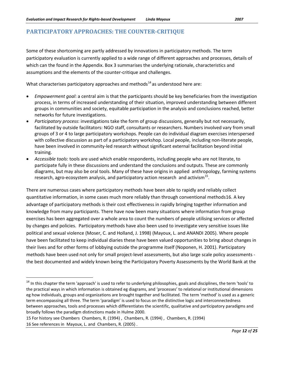### **PARTICIPATORY APPROACHES: THE COUNTER-CRITIQUE**

Some of these shortcoming are partly addressed by innovations in participatory methods. The term participatory evaluation is currently applied to a wide range of different approaches and processes, details of which can the found in the Appendix. Box 3 summarises the underlying rationale, characteristics and assumptions and the elements of the counter-critique and challenges.

What characterises participatory approaches and methods<sup>[14](#page-11-0)</sup> as understood here are:

- *Empowerment goal*: a central aim is that the participants should be key beneficiaries from the investigation process, in terms of increased understanding of their situation, improved understanding between different groups in communities and society, equitable participation in the analysis and conclusions reached, better networks for future investigations.
- *Participatory process*: investigations take the form of group discussions, generally but not necessarily, facilitated by outside facilitators: NGO staff, consultants or researchers. Numbers involved vary from small groups of 3 or 4 to large participatory workshops. People can do individual diagram exercises interspersed with collective discussion as part of a participatory workshop. Local people, including non-literate people, have been involved in community-led research without significant external facilitation beyond initial training.
- *Accessible tools*: tools are used which enable respondents, including people who are not literate, to participate fully in these discussions and understand the conclusions and outputs. These are commonly diagrams, but may also be oral tools. Many of these have origins in applied anthropology, farming systems research, agro-ecosystem analysis, and participatory action research and activism<sup>15</sup>.

There are numerous cases where participatory methods have been able to rapidly and reliably collect quantitative information, in some cases much more reliably than through conventional methods[16](#page-11-2) . A key advantage of participatory methods is their cost effectiveness in rapidly bringing together information and knowledge from many participants. There have now been many situations where information from group exercises has been aggregated over a whole area to count the numbers of people utilising services or affected by changes and policies. Participatory methods have also been used to investigate very sensitive issues like political and sexual violence (Moser, C. and Holland, J. 1998) (Mayoux, L. and ANANDI 2005). Where people have been facilitated to keep individual diaries these have been valued opportunities to bring about changes in their lives and for other forms of lobbying outside the programme itself (Noponen, H. 2001). Participatory methods have been used not only for small project-level assessments, but also large scale policy assessments the best documented and widely known being the Participatory Poverty Assessments by the World Bank at the

<span id="page-11-0"></span><sup>&</sup>lt;sup>14</sup> In this chapter the term 'approach' is used to refer to underlying philosophies, goals and disciplines, the term 'tools' to the practical ways in which information is obtained eg diagrams, and 'processes' to relational or institutional dimensions eg how individuals, groups and organizations are brought together and facilitated. The term 'method' is used as a generic term encompassing all three. The term 'paradigm' is used to focus on the distinctive logic and interconnectedness between approaches, tools and processes which differentiates the scientific, qualitative and participatory paradigms and broadly follows the paradigm distinctions made in Hulme 2000.

<span id="page-11-2"></span><span id="page-11-1"></span><sup>15</sup> For history see Chambers Chambers, R. (1994) , Chambers, R. (1994) , Chambers, R. (1994) 16 See references in Mayoux, L. and Chambers, R. (2005) .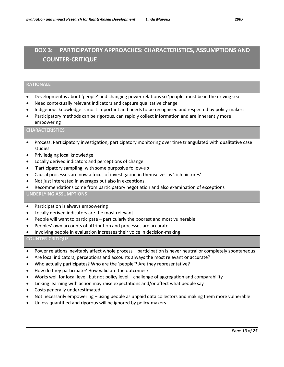# **BOX 3: PARTICIPATORY APPROACHES: CHARACTERISTICS, ASSUMPTIONS AND COUNTER-CRITIQUE**

#### **RATIONALE**

- Development is about 'people' and changing power relations so 'people' must be in the driving seat
- Need contextually relevant indicators and capture qualitative change
- Indigenous knowledge is most important and needs to be recognised and respected by policy-makers
- Participatory methods can be rigorous, can rapidly collect information and are inherently more empowering

#### **CHARACTERISTICS**

- Process: Participatory investigation, participatory monitoring over time triangulated with qualitative case studies
- Priviledging local knowledge
- Locally derived indicators and perceptions of change
- 'Participatory sampling' with some purposive follow-up
- Causal processes are now a focus of investigation in themselves as 'rich pictures'
- Not just interested in averages but also in exceptions.
- Recommendations come from participatory negotiation and also examination of exceptions

#### **UNDERLYING ASSUMPTIONS**

- Participation is always empowering
- Locally derived indicators are the most relevant
- People will want to participate particularly the poorest and most vulnerable
- Peoples' own accounts of attribution and processes are accurate
- Involving people in evaluation increases their voice in decision-making

**COUNTER-CRITIQUE**

- Power relations inevitably affect whole process participation is never neutral or completely spontaneous
- Are local indicators, perceptions and accounts always the most relevant or accurate?
- Who actually participates? Who are the 'people'? Are they representative?
- How do they participate? How valid are the outcomes?
- Works well for local level, but not policy level challenge of aggregation and comparability
- Linking learning with action may raise expectations and/or affect what people say
- Costs generally underestimated
- Not necessarily empowering using people as unpaid data collectors and making them more vulnerable
- Unless quantified and rigorous will be ignored by policy-makers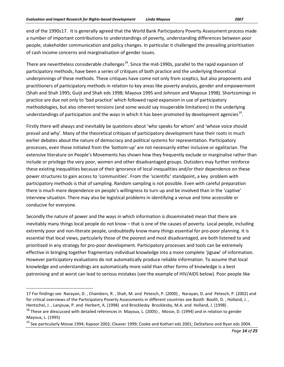end of the 1990s[17](#page-13-0) . It is generally agreed that the World Bank Participatory Poverty Assessment process made a number of important contributions to understandings of poverty, understanding differences between poor people, stakeholder communication and policy changes. In particular it challenged the prevailing prioritisation of cash income concerns and marginalisation of gender issues.

There are nevertheless considerable challenges<sup>18</sup>. Since the mid-1990s, parallel to the rapid expansion of participatory methods, have been a series of critiques of both practice and the underlying theoretical underpinnings of these methods. These critiques have come not only from sceptics, but also proponents and practitioners of participatory methods in relation to key areas like poverty analysis, gender and empowerment (Shah and Shah 1995; Guijt and Shah eds 1998; Mayoux 1995 and Johnson and Mayoux 1998). Shortcomings in practice are due not only to 'bad practice' which followed rapid expansion in use of participatory methodologies, but also inherent tensions (and some would say insuperable limitations) in the underlying understandings of participation and the ways in which it has been promoted by development agencies<sup>[19](#page-13-2)</sup>.

Firstly there will always and inevitably be questions about 'who speaks for whom' and 'whose voice should prevail and why'. Many of the theoretical critiques of participatory development have their roots in much earlier debates about the nature of democracy and political systems for representation. Participatory processes, even those initiated from the 'bottom-up' are not necessarily either inclusive or egalitarian. The extensive literature on People's Movements has shown how they frequently exclude or marginalise rather than include or privilege the very poor, women and other disadvantaged groups. Outsiders may further reinforce these existing inequalities because of their ignorance of local inequalities and/or their dependence on these power structures to gain access to 'communities'. From the 'scientific' standpoint, a key problem with participatory methods is that of sampling. Random sampling is not possible. Even with careful preparation there is much more dependence on people's willingness to turn up and be involved than in the 'captive' interview situation. There may also be logistical problems in identifying a venue and time accessible or conducive for everyone.

Secondly the nature of power and the ways in which information is disseminated mean that there are inevitably many things local people do not know – that is one of the causes of poverty. Local people, including extremly poor and non-literate people, undoubtedly know many things essential for pro-poor planning. It is essential that local views, partcularly those of the poorest and most disadvantaged, are both listened to and prioritised in any strategy for pro-poor development. Participatory processes and tools can be extremely effective in bringing together fragmentary individual knowledge into a more complete 'jigsaw' of information. However participatory evaluations do not automatically produce reliable information. To assume that local knowledge and understandings are automatically more valid than other forms of knowledge is a best patronising and at worst can lead to serious mistakes (see the example of HIV/AIDS below). Poor people like

 $\overline{\phantom{0}}$ 

<span id="page-13-0"></span><sup>17</sup> For findings see Narayan, D. , Chambers, R. , Shah, M. and Petesch, P. (2000) , Narayan, D. and Petesch, P. (2002) and for critical overviews of the Participatory Poverty Assessments in different countries see Booth Booth, D., Holland, J., Hentschel, J. , Lanjouw, P. and Herbert, A. (1998) and Brocklesby Brocklesby, M.A. and Holland, J. (1998) .

<span id="page-13-1"></span><sup>&</sup>lt;sup>18</sup> These are diescussed with detailed references in Mayoux, L. (2005), Mosse, D. (1994) and in relation to gender Mayoux, L. (1995)

<span id="page-13-2"></span><sup>&</sup>lt;sup>19</sup> See particularly Mosse 1994; Kapoor 2002; Cleaver 1999; Cooke and Kothari eds 2001; DeStefano and Ryan eds 2004.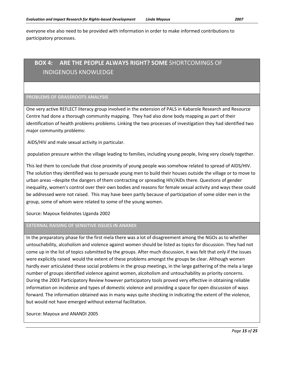everyone else also need to be provided with information in order to make informed contributions to participatory processes.

# **BOX 4: ARE THE PEOPLE ALWAYS RIGHT? SOME** SHORTCOMINGS OF INDIGENOUS KNOWLEDGE

#### **PROBLEMS OF GRASSROOTS ANALYSIS**

One very active REFLECT literacy group involved in the extension of PALS in Kabarole Research and Resource Centre had done a thorough community mapping. They had also done body mapping as part of their identification of health problems problems. Linking the two processes of investigation they had identified two major community problems:

AIDS/HIV and male sexual activity in particular.

population pressure within the village leading to families, including young people, living very closely together.

This led them to conclude that close proximity of young people was somehow related to spread of AIDS/HIV. The solution they identified was to persuade young men to build their houses outside the village or to move to urban areas –despite the dangers of them contracting or spreading HIV/AIDs there. Questions of gender inequality, women's control over their own bodies and reasons for female sexual activity and ways these could be addressed were not raised. This may have been partly because of participation of some older men in the group, some of whom were related to some of the young women.

Source: Mayoux fieldnotes Uganda 2002

#### **EXTERNAL RAISING OF SENSITIVE ISSUES IN ANANDI**

In the preparatory phase for the first mela there was a lot of disagreement among the NGOs as to whether untouchability, alcoholism and violence against women should be listed as topics for discussion. They had not come up in the list of topics submitted by the groups. After much discussion, it was felt that only if the issues were explicitly raised would the extent of these problems amongst the groups be clear. Although women hardly ever articulated these social problems in the group meetings, in the large gathering of the mela a large number of groups identified violence against women, alcoholism and untouchability as priority concerns. During the 2003 Participatory Review however participatory tools proved very effective in obtaining reliable information on incidence and types of domestic violence and providing a space for open discussion of ways forward. The information obtained was in many ways quite shocking in indicating the extent of the violence, but would not have emerged without external facilitation.

Source: Mayoux and ANANDI 2005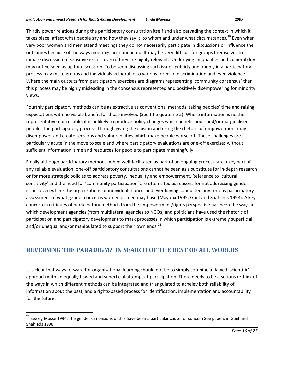Thirdly power relations during the participatory consultation itself and also pervading the context in which it takes place, affect what people say and how they say it, to whom and under what circumstances.<sup>[20](#page-15-0)</sup> Even when very poor women and men attend meetings they do not necessarily participate in discussions or influence the outcomes because of the ways meetings are conducted. It may be very difficult for groups themselves to initiate discussion of sensitive issues, even if they are highly relevant. Underlying inequalities and vulnerability may not be seen as up for discussion. To be seen discussing such issues publicly and openly in a participatory process may make groups and individuals vulnerable to various forms of discrimination and even violence. Where the main outputs from participatory exercises are diagrams representing 'community consensus' then this process may be highly misleading in the consensus represented and positively disempowering for minority views.

Fourthly participatory methods can be as extractive as conventional methods, taking peoples' time and raising expectations with no visible benefit for those involved (See title quote no 2). Where information is neither representative nor reliable, it is unlikely to produce policy changes which benefit poor and/or marginalised people. The participatory process, through giving the illusion and using the rhetoric of empowerment may disempower and create tensions and vulnerabilities which make people worse off. These challenges are particularly acute in the move to scale and where participatory evaluations are one-off exercises without sufficient information, time and resources for people to participate meaningfully.

Finally although participatory methods, when well-facilitated as part of an ongoing process, are a key part of any reliable evaluation, one-off participatory consultations cannot be seen as a substitute for in-depth research or for more strategic policies to address poverty, inequality and empowerment. Reference to 'cultural sensitivity' and the need for 'community participation' are often cited as reasons for not addressing gender issues even where the organizations or individuals concerned ever having conducted any serious participatory assessment of what gender concerns women or men may have (Mayoux 1995; Guijt and Shah eds 1998). A key concern in critiques of participatory methods from the empowerment/rights perspective has been the ways in which development agencies (from multilateral agencies to NGOs) and politicians have used the rhetoric of participation and participatory development to mask processes in which participation is extremely superficial and/or unequal and/or manipulated to support their own ends. $^{21}$  $^{21}$  $^{21}$ 

# **REVERSING THE PARADIGM? IN SEARCH OF THE BEST OF ALL WORLDS**

It is clear that ways forward for organisational learning should not be to simply combine a flawed 'scientific' approach with an equally flawed and superficial attempt at participation. There needs to be a serious rethink of the ways in which different methods can be integrated and triangulated to acheiev both reliability of information about the past, and a rights-based process for identification, implementation and accountability for the future.

<span id="page-15-1"></span><span id="page-15-0"></span><sup>&</sup>lt;sup>20</sup> See eg Mosse 1994. The gender dimensions of this have been a particular cause for concern See papers in Guijt and Shah eds 1998.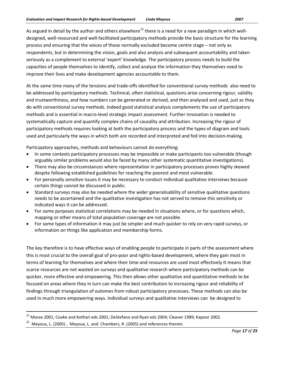As argued in detail by the author and others elsewhere<sup>[22](#page-16-0)</sup> there is a need for a new paradigm in which welldesigned, well-resourced and well-facilitated participatory methods provide the basic structure for the learning process and ensuring that the voices of those normally excluded become centre stage – not only as respondents, but in determining the vision, goals and also analysis and subsequent accountability and taken seriously as a complement to external 'expert' knowledge. The participatory process needs to build the capacities of people themselves to identify, collect and analyse the information they themselves need to improve their lives and make development agencies accountable to them.

At the same time many of the tensions and trade-offs identified for conventional survey methods also need to be addressed by participatory methods. Technical, often statistical, questions arise concerning rigour, validity and trustworthiness, and how numbers can be generated or derived, and then analysed and used, just as they do with conventional survey methods. Indeed good statistical analysis complements the use of participatory methods and is essential in macro-level strategic impact assessment. Further innovation is needed to systematically capture and quantify complex chains of causality and attribution. Increasing the rigour of participatory methods requires looking at both the participatory process and the types of diagram and tools used and particularly the ways in which both are recorded and interpreted and fed into decision-making.

Participatory approaches, methods and behaviours cannot do everything:

- In some contexts participatory processes may be impossible or make participants too vulnerable (though arguably similar problems would also be faced by many other systematic quantitative investigations).
- There may also be circumstances where representation in participatory processes proves highly skewed despite following established guidelines for reaching the poorest and most vulnerable.
- For personally sensitive issues it may be necessary to conduct individual qualitative interviews because certain things cannot be discussed in public.
- Standard surveys may also be needed where the wider generalisability of sensitive qualitative questions needs to be ascertained and the qualitative investigation has not served to remove this sensitivity or indicated ways it can be addressed.
- For some purposes statistical correlations may be needed in situations where, or for questions which, mapping or other means of total population coverage are not possible.
- For some types of information it may just be simpler and much quicker to rely on very rapid surveys, or information on things like application and membership forms.

The key therefore is to have effective ways of enabling people to participate in parts of the assessment where this is most crucial to the overall goal of pro-poor and rights-based development, where they gain most in terms of learning for themselves and where their time and resources are used most effectively It means that scarce resources are not wasted on surveys and qualitative research where participatory methods can be quicker, more effective and empowering. This then allows other qualitative and quantitative methods to be focused on areas where they in turn can make the best contribution to increasing rigour and reliability of findings through triangulation of outomes from robust participatory processes. These methods can also be used in much more empowering ways. Individual surveys and qualitative interviews can be designed to

<sup>&</sup>lt;sup>21</sup> Mosse 2001; Cooke and Kothari eds 2001; DeStefano and Ryan eds 2004; Cleaver 1989; Kapoor 2002.

<span id="page-16-0"></span> $22$  Mayoux, L. (2005), Mayoux, L. and Chambers, R. (2005) and references therein.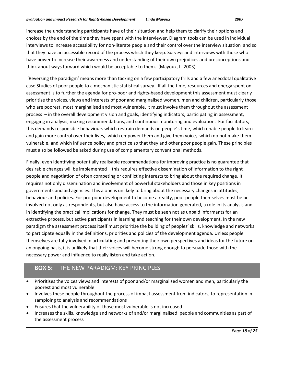increase the understanding participants have of their situation and help them to clarify their options and choices by the end of the time they have spent with the interviewer. Diagram tools can be used in individual interviews to increase accessibility for non-literate people and their control over the interview situation and so that they have an accessible record of the process which they keep. Surveys and interviews with those who have power to increase their awareness and understanding of their own prejudices and preconceptions and think about ways forward which would be acceptable to them. (Mayoux, L. 2003).

'Reversing the paradigm' means more than tacking on a few participatory frills and a few anecdotal qualitative case Studies of poor people to a mechanistic statistical survey. If all the time, resources and energy spent on assessment is to further the agenda for pro-poor and rights-based development this assessment must clearly prioritise the voices, views and interests of poor and marginalised women, men and children, particularly those who are poorest, most marginalised and most vulnerable. It must involve them throughout the assessment process – in the overall development vision and goals, identifying indicators, participating in assessment, engaging in analysis, making recommendations, and continuous monitoring and evaluation. For facilitators, this demands responsible behaviours which restrain demands on people's time, which enable people to learn and gain more control over their lives, which empower them and give them voice, which do not make them vulnerable, and which influence policy and practice so that they and other poor people gain. These principles must also be followed be asked during use of complementary conventional methods.

Finally, even identifying potentially realisable recommendations for improving practice is no guarantee that desirable changes will be implemented – this requires effective dissemination of information to the right people and negotiation of often competing or conflicting interests to bring about the required change. It requires not only dissemination and involvement of powerful stakeholders and those in key positions in governments and aid agencies. This alone is unlikely to bring about the necessary changes in attitudes, behaviour and policies. For pro-poor development to become a reality, poor people themselves must be be involved not only as respondents, but also have access to the information generated, a role in its analysis and in identifying the practical implications for change. They must be seen not as unpaid informants for an extractive process, but active participants in learning and teaching for their own development. In the new paradigm the assessment process itself must prioritise the building of peoples' skills, knowledge and networks to participate equally in the definitions, priorities and policies of the development agenda. Unless people themselves are fully involved in articulating and presenting their own perspectives and ideas for the future on an ongoing basis, it is unlikely that their voices will become strong enough to persuade those with the necessary power and influence to really listen and take action.

### **BOX 5:** THE NEW PARADIGM: KEY PRINCIPLES

- Prioritises the voices views and interests of poor and/or marginalised women and men, particularly the poorest and most vulnerable
- Involves these people throughout the process of impact assessment from indicators, to representation in samploing to analysis and recommendations
- Ensures that the vulnerability of those most vulnerable is not increased
- Increases the skills, knowledge and networks of and/or margilnalised people and communities as part of the assessment process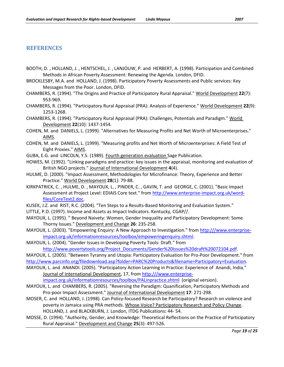#### **REFERENCES**

- BOOTH, D. , HOLLAND, J. , HENTSCHEL, J. , LANJOUW, P. and HERBERT, A. (1998). Participation and Combined Methods in African Poverty Assessment: Renewing the Agenda. London, DFID.
- BROCKLESBY, M.A. and HOLLAND, J. (1998). Participatory Poverty Assessments and Public services: Key Messages from the Poor. London, DFID.
- CHAMBERS, R. (1994). "The Origins and Practice of Participatory Rural Appraisal." World Development **22**(7): 953-969.
- CHAMBERS, R. (1994). "Participatory Rural Appraisal (PRA): Analysis of Experience." World Development **22**(9): 1253-1268.
- CHAMBERS, R. (1994). "Participatory Rural Appraisal (PRA): Challenges, Potentials and Paradigm." World Development **22**(10): 1437-1454.
- COHEN, M. and DANIELS, L. (1999). "Alternatives for Measuring Profits and Net Worth of Microenterprises." AIMS.
- COHEN, M. and DANIELS, L. (1999). "Measuring profits and Net Worth of Microenterprises: A Field Test of Eight Proxies." AIMS.
- GUBA, E.G. and LINCOLN, Y.S. (1989). Fourth generation evaluation Sage Publication.
- HOWES, M. (1992). "Linking paradigms and practice: key issues in the appraisal, monitoring and evaluation of British NGO projects." Journal of International Development **4**(4).
- HULME, D. (2000). "Impact Assessment, Methodologies for Microfinance: Theory, Experience and Better Practice." World Development **28**(1): 79-88.
- KIRKPATRICK, C. , HULME, D. , MAYOUX, L. , PINDER, C. , GAVIN, T. and GEORGE, C. (2001). "Basic Impact Assessment at Project Level: EDIAIS Core text." fro[m http://www.enterprise-impact.org.uk/word](http://www.enterprise-impact.org.uk/word-files/CoreText2.doc)[files/CoreText2.doc.](http://www.enterprise-impact.org.uk/word-files/CoreText2.doc)
- KUSEK, J.Z. and RIST, R.C. (2004). "Ten Steps to a Results-Based Monitoring and Evaluation System."
- LITTLE, P.D. (1997). Income and Assets as Impact Indicators. Kentucky, CGAP//.
- MAYOUX, L. (1995). " Beyond Naivety: Women, Gender Inequality and Participatory Development: Some Thorny Issues." Development and Change **26**: 235-258.
- MAYOUX, L. (2003). "Empowering Enquiry: A New Approach to Investigation." from [http:///www.enterprise](http://www.enterprise-impact.org.uk/informationresources/toolbox/empoweringenquiry.shtml)[impact.org.uk/informationresources/toolbox/empoweringenquiry.shtml.](http://www.enterprise-impact.org.uk/informationresources/toolbox/empoweringenquiry.shtml)
- MAYOUX, L. (2004). "Gender Issues in Developing Poverty Tools: Draft." from

[http://www.povertytools.org/Project\\_Documents/Gender%20Issues%20draft%20072104.pdf.](http://www.povertytools.org/Project_Documents/Gender%20Issues%20draft%20072104.pdf)

- MAYOUX, L. (2005). "Between Tyranny and Utopia: Participatory Evaluation for Pro-Poor Development." from [http://www.parcinfo.org/filedownload.asp?folder=PARC%20Products&filename=Participatory+Evaluation.](http://www.parcinfo.org/filedownload.asp?folder=PARC%20Products&filename=Participatory+Evaluation)
- MAYOUX, L. and ANANDI. (2005). "Participatory Action Learning in Practice: Experience of Anandi, India." Journal of International Development, 17, from [http:///www.enterprise-](http://www.enterprise-impact.org.uk/informationresources/toolbox/PALinpractice.shtml)

[impact.org.uk/informationresources/toolbox/PALinpractice.shtml](http://www.enterprise-impact.org.uk/informationresources/toolbox/PALinpractice.shtml) (original version).

- MAYOUX, L. and CHAMBERS, R. (2005). "Reversing the Paradigm: Quanification, Participatory Methods and Pro-poor Impact Assessment." Journal of International Development **17**: 271-298.
- MOSER, C. and HOLLAND, J. (1998). Can Policy-focused Research be Participatory? Research on violence and poverty in Jamaica using PRA methods. Whose Voice? Participatory Research and Policy Change. HOLLAND, J. and BLACKBURN, J. London, ITDG Publications**:** 44- 54.
- MOSSE, D. (1994). "Authority, Gender, and Knowledge: Theoretical Reflections on the Practice of Participatory Rural Appraisal." Development and Change **25**(3): 497-526.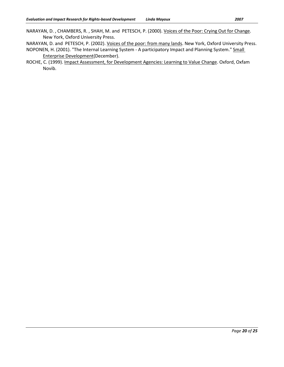NARAYAN, D. , CHAMBERS, R. , SHAH, M. and PETESCH, P. (2000). Voices of the Poor: Crying Out for Change. New York, Oxford University Press.

NARAYAN, D. and PETESCH, P. (2002). Voices of the poor: from many lands. New York, Oxford University Press. NOPONEN, H. (2001). "The Internal Learning System - A participatory Impact and Planning System." Small Enterprise Development(December).

ROCHE, C. (1999). Impact Assessment, for Development Agencies: Learning to Value Change. Oxford, Oxfam Novib.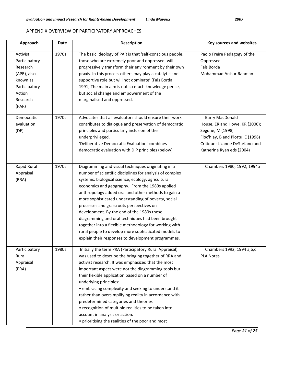#### APPENDIX OVERVIEW OF PARTICIPATORY APPROACHES

| Approach                                                                                                         | Date  | <b>Description</b>                                                                                                                                                                                                                                                                                                                                                                                                                                                                                                                                                                                                                                         | <b>Key sources and websites</b>                                                                                                                                                   |
|------------------------------------------------------------------------------------------------------------------|-------|------------------------------------------------------------------------------------------------------------------------------------------------------------------------------------------------------------------------------------------------------------------------------------------------------------------------------------------------------------------------------------------------------------------------------------------------------------------------------------------------------------------------------------------------------------------------------------------------------------------------------------------------------------|-----------------------------------------------------------------------------------------------------------------------------------------------------------------------------------|
| Activist<br>Participatory<br>Research<br>(APR), also<br>known as<br>Participatory<br>Action<br>Research<br>(PAR) | 1970s | The basic ideology of PAR is that 'self-conscious people,<br>those who are extremely poor and oppressed, will<br>progressively transform their environment by their own<br>praxis. In this process others may play a catalytic and<br>supportive role but will not dominate' (Fals Borda<br>1991) The main aim is not so much knowledge per se,<br>but social change and empowerment of the<br>marginalised and oppressed.                                                                                                                                                                                                                                 | Paolo Freire Pedagogy of the<br>Oppressed<br><b>Fals Borda</b><br>Mohammad Anisur Rahman                                                                                          |
| Democratic<br>evaluation<br>(DE)                                                                                 | 1970s | Advocates that all evaluators should ensure their work<br>contributes to dialogue and preservation of democratic<br>principles and particularly inclusion of the<br>underprivileged.<br>'Deliberative Democratic Evaluation' combines<br>democratic evaluation with DIP principles (below).                                                                                                                                                                                                                                                                                                                                                                | <b>Barry MacDonald</b><br>House, ER and Howe, KR (2000);<br>Segone, M (1998)<br>Floc'hlay, B and Plottu, E (1998)<br>Critique: Lizanne DeStefano and<br>Katherine Ryan eds (2004) |
| Rapid Rural<br>Appraisal<br>(RRA)                                                                                | 1970s | Diagramming and visual techniques originating in a<br>number of scientific disciplines for analysis of complex<br>systems: biological science, ecology, agricultural<br>economics and geography. From the 1980s applied<br>anthropology added oral and other methods to gain a<br>more sophisticated understanding of poverty, social<br>processes and grassroots perspectives on<br>development. By the end of the 1980s these<br>diagramming and oral techniques had been brought<br>together into a flexible methodology for working with<br>rural people to develop more sophisticated models to<br>explain their responses to development programmes. | Chambers 1980, 1992, 1994a                                                                                                                                                        |
| Participatory<br>Rural<br>Appraisal<br>(PRA)                                                                     | 1980s | Initially the term PRA (Participatory Rural Appraisal)<br>was used to describe the bringing together of RRA and<br>activist research. It was emphasized that the most<br>important aspect were not the diagramming tools but<br>their flexible application based on a number of<br>underlying principles:<br>• embracing complexity and seeking to understand it<br>rather than oversimplifying reality in accordance with<br>predetermined categories and theories<br>• recognition of multiple realities to be taken into<br>account in analysis or action.<br>• prioritising the realities of the poor and most                                         | Chambers 1992, 1994 a,b,c<br><b>PLA Notes</b>                                                                                                                                     |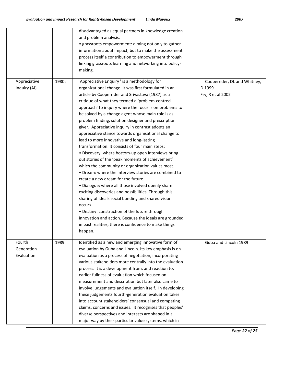|                                    |       | disadvantaged as equal partners in knowledge creation<br>and problem analysis.<br>• grassroots empowerment: aiming not only to gather<br>information about impact, but to make the assessment<br>process itself a contribution to empowerment through<br>linking grassroots learning and networking into policy-<br>making.                                                                                                                                                                                                                                                                                                                                                                                                                                                                                                                                                                                                                                                                                                                                                                                                                                                                                            |                                                             |
|------------------------------------|-------|------------------------------------------------------------------------------------------------------------------------------------------------------------------------------------------------------------------------------------------------------------------------------------------------------------------------------------------------------------------------------------------------------------------------------------------------------------------------------------------------------------------------------------------------------------------------------------------------------------------------------------------------------------------------------------------------------------------------------------------------------------------------------------------------------------------------------------------------------------------------------------------------------------------------------------------------------------------------------------------------------------------------------------------------------------------------------------------------------------------------------------------------------------------------------------------------------------------------|-------------------------------------------------------------|
| Appreciative<br>Inquiry (AI)       | 1980s | Appreciative Enquiry ' is a methodology for<br>organizational change. It was first formulated in an<br>article by Cooperrider and Srivastava (1987) as a<br>critique of what they termed a 'problem-centred<br>approach' to inquiry where the focus is on problems to<br>be solved by a change agent whose main role is as<br>problem finding, solution designer and prescription<br>giver. Appreciative inquiry in contrast adopts an<br>appreciative stance towards organisational change to<br>lead to more innovative and long-lasting<br>transformation. It consists of four main steps:<br>· Discovery: where bottom-up open interviews bring<br>out stories of the 'peak moments of achievement'<br>which the community or organization values most.<br>• Dream: where the interview stories are combined to<br>create a new dream for the future.<br>· Dialogue: where all those involved openly share<br>exciting discoveries and possibilities. Through this<br>sharing of ideals social bonding and shared vision<br>occurs.<br>· Destiny: construction of the future through<br>innovation and action. Because the ideals are grounded<br>in past realities, there is confidence to make things<br>happen. | Cooperrider, DL and Whitney,<br>D 1999<br>Fry, R et al 2002 |
| Fourth<br>Generation<br>Evaluation | 1989  | Identified as a new and emerging innovative form of<br>evaluation by Guba and Lincoln. Its key emphasis is on<br>evaluation as a process of negotiation, incorporating<br>various stakeholders more centrally into the evaluation<br>process. It is a development from, and reaction to,<br>earlier fullness of evaluation which focused on<br>measurement and description but later also came to<br>involve judgements and evaluation itself. In developing<br>these judgements fourth-generation evaluation takes<br>into account stakeholders' consensual and competing<br>claims, concerns and issues. It recognises that peoples'<br>diverse perspectives and interests are shaped in a<br>major way by their particular value systems, which in                                                                                                                                                                                                                                                                                                                                                                                                                                                                  | Guba and Lincoln 1989                                       |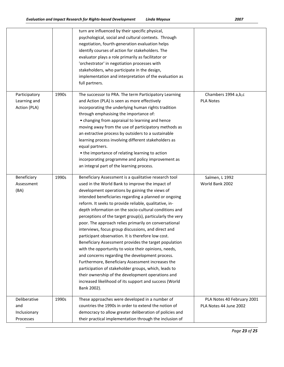|                                                  |       | turn are influenced by their specific physical,<br>psychological, social and cultural contexts. Through<br>negotiation, fourth-generation evaluation helps<br>identify courses of action for stakeholders. The<br>evaluator plays a role primarily as facilitator or<br>'orchestrator' in negotiation processes with<br>stakeholders, who participate in the design,<br>implementation and interpretation of the evaluation as<br>full partners.                                                                                                                                                                                                                                                                                                                                                                                                                                                                                                                                          |                                                      |
|--------------------------------------------------|-------|-------------------------------------------------------------------------------------------------------------------------------------------------------------------------------------------------------------------------------------------------------------------------------------------------------------------------------------------------------------------------------------------------------------------------------------------------------------------------------------------------------------------------------------------------------------------------------------------------------------------------------------------------------------------------------------------------------------------------------------------------------------------------------------------------------------------------------------------------------------------------------------------------------------------------------------------------------------------------------------------|------------------------------------------------------|
| Participatory<br>Learning and<br>Action (PLA)    | 1990s | The successor to PRA. The term Participatory Learning<br>and Action (PLA) is seen as more effectively<br>incorporating the underlying human rights tradition<br>through emphasising the importance of:<br>• changing from appraisal to learning and hence<br>moving away from the use of participatory methods as<br>an extractive process by outsiders to a sustainable<br>learning process involving different stakeholders as<br>equal partners.<br>• the importance of relating learning to action<br>incorporating programme and policy improvement as<br>an integral part of the learning process.                                                                                                                                                                                                                                                                                                                                                                                  | Chambers 1994 a,b,c<br><b>PLA Notes</b>              |
| Beneficiary<br>Assessment<br>(BA)                | 1990s | Beneficiary Assessment is a qualitative research tool<br>used in the World Bank to improve the impact of<br>development operations by gaining the views of<br>intended beneficiaries regarding a planned or ongoing<br>reform. It seeks to provide reliable, qualitative, in-<br>depth information on the socio-cultural conditions and<br>perceptions of the target group(s), particularly the very<br>poor. The approach relies primarily on conversational<br>interviews, focus group discussions, and direct and<br>participant observation. It is therefore low cost.<br>Beneficiary Assessment provides the target population<br>with the opportunity to voice their opinions, needs,<br>and concerns regarding the development process.<br>Furthermore, Beneficiary Assessment increases the<br>participation of stakeholder groups, which, leads to<br>their ownership of the development operations and<br>increased likelihood of its support and success (World<br>Bank 2002). | Salmen, L 1992<br>World Bank 2002                    |
| Deliberative<br>and<br>Inclusionary<br>Processes | 1990s | These approaches were developed in a number of<br>countries the 1990s in order to extend the notion of<br>democracy to allow greater deliberation of policies and<br>their practical implementation through the inclusion of                                                                                                                                                                                                                                                                                                                                                                                                                                                                                                                                                                                                                                                                                                                                                              | PLA Notes 40 February 2001<br>PLA Notes 44 June 2002 |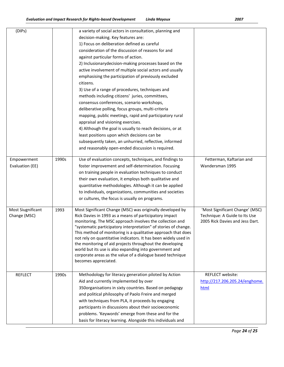| (DIPs)                            |       | a variety of social actors in consultation, planning and<br>decision-making. Key features are:<br>1) Focus on deliberation defined as careful<br>consideration of the discussion of reasons for and<br>against particular forms of action.<br>2) Inclusionary decision-making processes based on the<br>active involvement of multiple social actors and usually<br>emphasising the participation of previously excluded<br>citizens.<br>3) Use of a range of procedures, techniques and<br>methods including citizens' juries, committees,<br>consensus conferences, scenario workshops,<br>deliberative polling, focus groups, multi-criteria<br>mapping, public meetings, rapid and participatory rural<br>appraisal and visioning exercises.<br>4) Although the goal is usually to reach decisions, or at<br>least positions upon which decisions can be<br>subsequently taken, an unhurried, reflective, informed<br>and reasonably open-ended discussion is required. |                                                                                                     |
|-----------------------------------|-------|-----------------------------------------------------------------------------------------------------------------------------------------------------------------------------------------------------------------------------------------------------------------------------------------------------------------------------------------------------------------------------------------------------------------------------------------------------------------------------------------------------------------------------------------------------------------------------------------------------------------------------------------------------------------------------------------------------------------------------------------------------------------------------------------------------------------------------------------------------------------------------------------------------------------------------------------------------------------------------|-----------------------------------------------------------------------------------------------------|
| Empowerment<br>Evaluation (EE)    | 1990s | Use of evaluation concepts, techniques, and findings to<br>foster improvement and self-determination. Focusing<br>on training people in evaluation techniques to conduct<br>their own evaluation, it employs both qualitative and<br>quantitative methodologies. Although it can be applied<br>to individuals, organizations, communities and societies<br>or cultures, the focus is usually on programs.                                                                                                                                                                                                                                                                                                                                                                                                                                                                                                                                                                   | Fetterman, Kaftarian and<br>Wandersman 1995                                                         |
| Most Siugnificant<br>Change (MSC) | 1993  | Most Significant Change (MSC) was originally developed by<br>Rick Davies in 1993 as a means of participatory impact<br>monitoring. The MSC approach involves the collection and<br>"systematic participatory interpretation" of stories of change.<br>This method of monitoring is a qualitative approach that does<br>not rely on quantitative indicators. It has been widely used in<br>the monitoring of aid projects throughout the developing<br>world but its use is also expanding into government and<br>corporate areas as the value of a dialogue based technique<br>becomes appreciated.                                                                                                                                                                                                                                                                                                                                                                         | 'Most Significant Change' (MSC)<br>Technique: A Guide to Its Use<br>2005 Rick Davies and Jess Dart. |
| <b>REFLECT</b>                    | 1990s | Methodology for literacy generation piloted by Action<br>Aid and currently implemented by over<br>350organisations in sixty countries. Based on pedagogy<br>and political philosophy of Paolo Freire and merged<br>with techniques from PLA, it proceeds by engaging<br>participants in discussions about their socioeconomic<br>problems. 'Keywords' emerge from these and for the<br>basis for literacy learning. Alongside this individuals and                                                                                                                                                                                                                                                                                                                                                                                                                                                                                                                          | REFLECT website:<br>http://217.206.205.24/enghome.<br>html                                          |